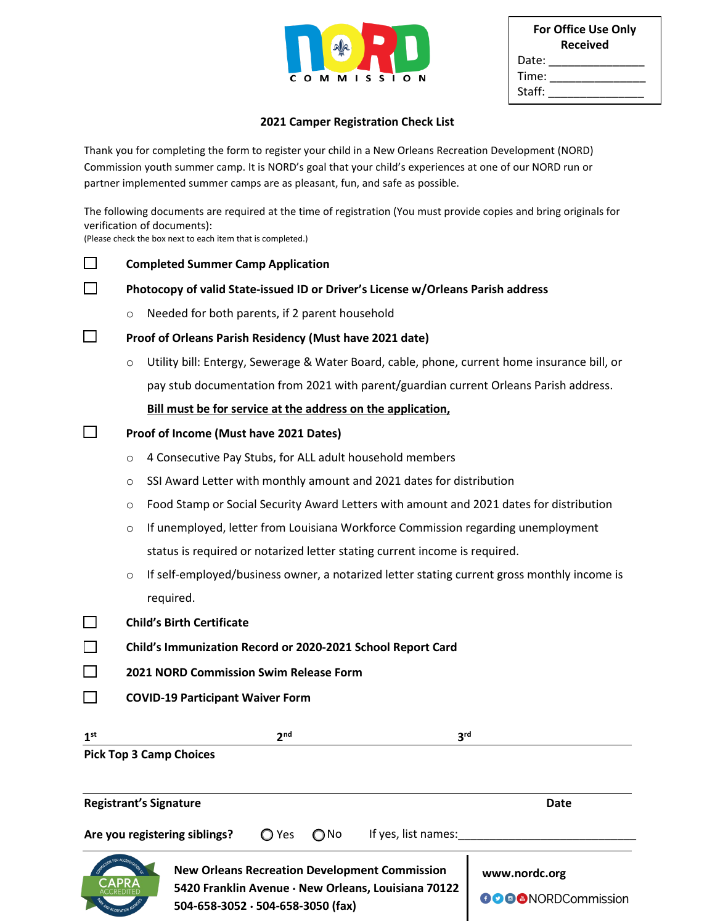|   | $\Delta$ a<br><b>ATA</b> |   |
|---|--------------------------|---|
| C | O M M I S S I O          | N |

| <b>For Office Use Only</b><br><b>Received</b> |  |  |
|-----------------------------------------------|--|--|
| Date:                                         |  |  |
| Time:                                         |  |  |
| Staff:                                        |  |  |

#### **2021 Camper Registration Check List**

Thank you for completing the form to register your child in a New Orleans Recreation Development (NORD) Commission youth summer camp. It is NORD's goal that your child's experiences at one of our NORD run or partner implemented summer camps are as pleasant, fun, and safe as possible.

The following documents are required at the time of registration (You must provide copies and bring originals for verification of documents):

(Please check the box next to each item that is completed.)

|                 | <b>Completed Summer Camp Application</b>                                        |                                                                                              |                           |  |  |
|-----------------|---------------------------------------------------------------------------------|----------------------------------------------------------------------------------------------|---------------------------|--|--|
|                 | Photocopy of valid State-issued ID or Driver's License w/Orleans Parish address |                                                                                              |                           |  |  |
|                 | Needed for both parents, if 2 parent household<br>$\circ$                       |                                                                                              |                           |  |  |
|                 | Proof of Orleans Parish Residency (Must have 2021 date)                         |                                                                                              |                           |  |  |
|                 | $\circ$                                                                         | Utility bill: Entergy, Sewerage & Water Board, cable, phone, current home insurance bill, or |                           |  |  |
|                 |                                                                                 | pay stub documentation from 2021 with parent/guardian current Orleans Parish address.        |                           |  |  |
|                 |                                                                                 | Bill must be for service at the address on the application,                                  |                           |  |  |
|                 |                                                                                 | Proof of Income (Must have 2021 Dates)                                                       |                           |  |  |
|                 | O                                                                               | 4 Consecutive Pay Stubs, for ALL adult household members                                     |                           |  |  |
|                 | O                                                                               | SSI Award Letter with monthly amount and 2021 dates for distribution                         |                           |  |  |
|                 | O                                                                               | Food Stamp or Social Security Award Letters with amount and 2021 dates for distribution      |                           |  |  |
|                 | $\circ$                                                                         | If unemployed, letter from Louisiana Workforce Commission regarding unemployment             |                           |  |  |
|                 |                                                                                 | status is required or notarized letter stating current income is required.                   |                           |  |  |
|                 | $\circ$                                                                         | If self-employed/business owner, a notarized letter stating current gross monthly income is  |                           |  |  |
|                 |                                                                                 | required.                                                                                    |                           |  |  |
|                 |                                                                                 | <b>Child's Birth Certificate</b>                                                             |                           |  |  |
|                 | Child's Immunization Record or 2020-2021 School Report Card                     |                                                                                              |                           |  |  |
|                 |                                                                                 | 2021 NORD Commission Swim Release Form                                                       |                           |  |  |
|                 |                                                                                 | <b>COVID-19 Participant Waiver Form</b>                                                      |                           |  |  |
|                 |                                                                                 |                                                                                              |                           |  |  |
| 1 <sup>st</sup> |                                                                                 | 2 <sup>nd</sup><br>3 <sup>rd</sup><br><b>Pick Top 3 Camp Choices</b>                         |                           |  |  |
|                 |                                                                                 |                                                                                              |                           |  |  |
|                 |                                                                                 |                                                                                              |                           |  |  |
|                 | <b>Registrant's Signature</b><br><b>Date</b>                                    |                                                                                              |                           |  |  |
|                 |                                                                                 | ◯ Yes<br>If yes, list names:<br>Are you registering siblings?<br>$\bigcirc$ No               |                           |  |  |
|                 |                                                                                 | <b>New Orleans Recreation Development Commission</b>                                         | www.nordc.org             |  |  |
|                 |                                                                                 | 5420 Franklin Avenue · New Orleans, Louisiana 70122                                          | <b>OOO</b> MORDCommission |  |  |
|                 |                                                                                 | 504-658-3052 · 504-658-3050 (fax)                                                            |                           |  |  |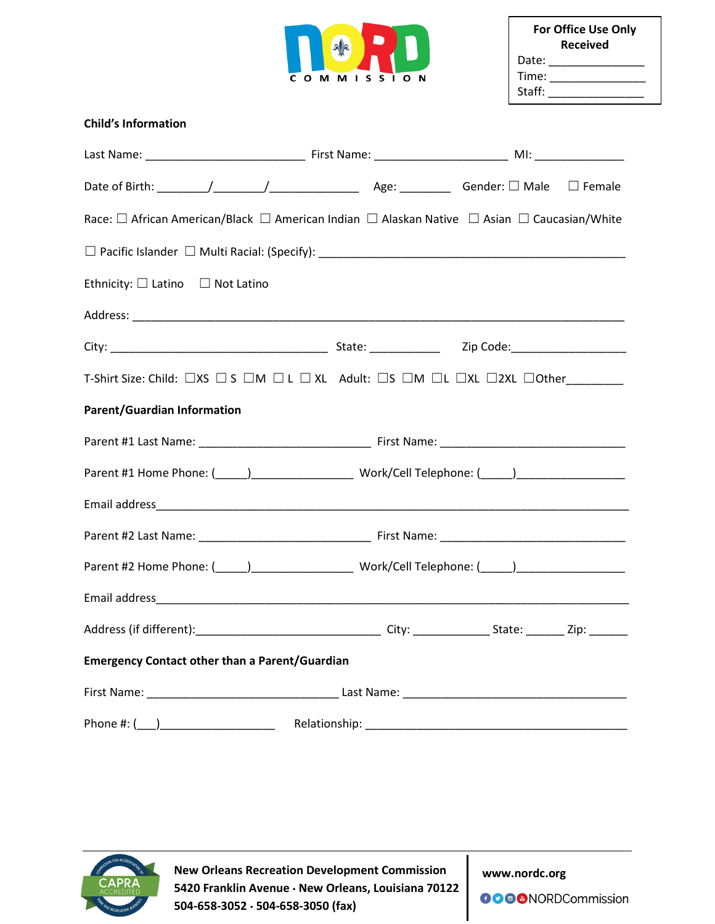

| <b>For Office Use Only</b><br><b>Received</b> |  |  |  |
|-----------------------------------------------|--|--|--|
| Date:                                         |  |  |  |
| Time:                                         |  |  |  |
| Staff:                                        |  |  |  |

## **Child's Information**

| Race: □ African American/Black □ American Indian □ Alaskan Native □ Asian □ Caucasian/White |  |  |  |  |
|---------------------------------------------------------------------------------------------|--|--|--|--|
|                                                                                             |  |  |  |  |
| Ethnicity: $\square$ Latino $\square$ Not Latino                                            |  |  |  |  |
|                                                                                             |  |  |  |  |
|                                                                                             |  |  |  |  |
| T-Shirt Size: Child: □XS □ S □M □ L □ XL Adult: □S □M □L □XL □2XL □Other________            |  |  |  |  |
| <b>Parent/Guardian Information</b>                                                          |  |  |  |  |
|                                                                                             |  |  |  |  |
|                                                                                             |  |  |  |  |
|                                                                                             |  |  |  |  |
|                                                                                             |  |  |  |  |
|                                                                                             |  |  |  |  |
|                                                                                             |  |  |  |  |
|                                                                                             |  |  |  |  |
| <b>Emergency Contact other than a Parent/Guardian</b>                                       |  |  |  |  |
|                                                                                             |  |  |  |  |
|                                                                                             |  |  |  |  |



**New Orleans Recreation Development Commission 5420 Franklin Avenue New Orleans, Louisiana 70122 504-658-3052 504-658-3050 (fax)**

**www.nordc.org**

**OOOO**NORDCommission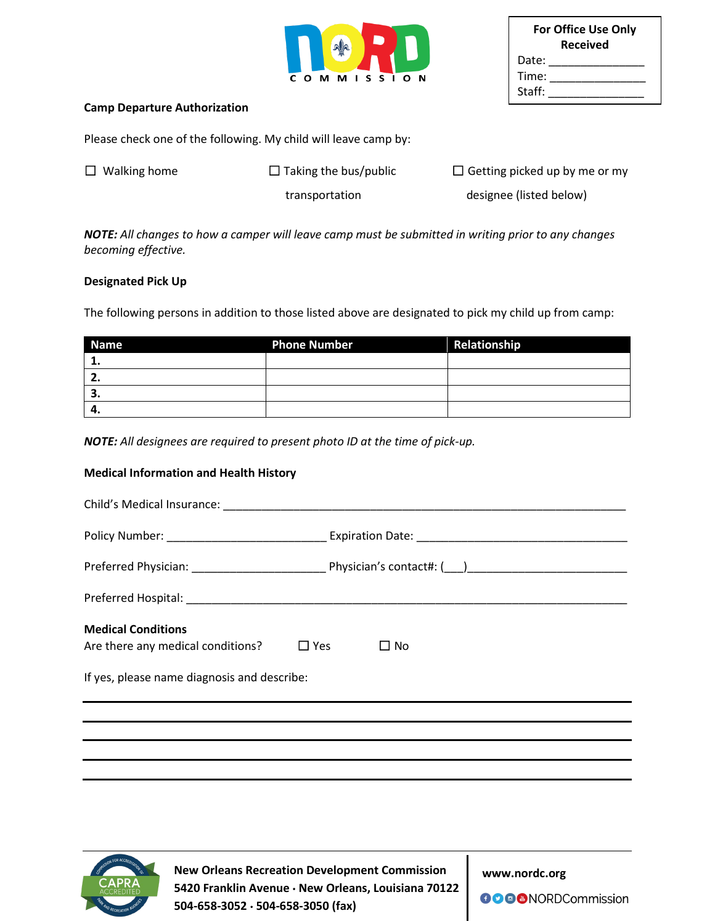

|        | <b>For Office Use Only</b><br><b>Received</b> |
|--------|-----------------------------------------------|
| Date:  |                                               |
| Time:  |                                               |
| Staff: |                                               |

#### **Camp Departure Authorization**

Please check one of the following. My child will leave camp by:

| $\Box$ Walking home | $\Box$ Taking the bus/public | $\Box$ Getting picked up by me or my |
|---------------------|------------------------------|--------------------------------------|
|                     | transportation               | designee (listed below)              |

*NOTE: All changes to how a camper will leave camp must be submitted in writing prior to any changes becoming effective.*

#### **Designated Pick Up**

The following persons in addition to those listed above are designated to pick my child up from camp:

| <b>Name</b> | <b>Phone Number</b> | Relationship |
|-------------|---------------------|--------------|
|             |                     |              |
| z.          |                     |              |
| э.          |                     |              |
| -4.         |                     |              |

*NOTE: All designees are required to present photo ID at the time of pick-up.*

#### **Medical Information and Health History**

| <b>Medical Conditions</b><br>Are there any medical conditions?                   | $\Box$ Yes<br>$\Box$ No |  |  |  |
|----------------------------------------------------------------------------------|-------------------------|--|--|--|
| If yes, please name diagnosis and describe:                                      |                         |  |  |  |
| ,我们也不会有什么。""我们的人,我们也不会有什么?""我们的人,我们也不会有什么?""我们的人,我们也不会有什么?""我们的人,我们也不会有什么?""我们的人 |                         |  |  |  |
|                                                                                  |                         |  |  |  |
|                                                                                  |                         |  |  |  |



 **New Orleans Recreation Development Commission 5420 Franklin Avenue New Orleans, Louisiana 70122 504-658-3052 504-658-3050 (fax)** 

**www.nordc.org**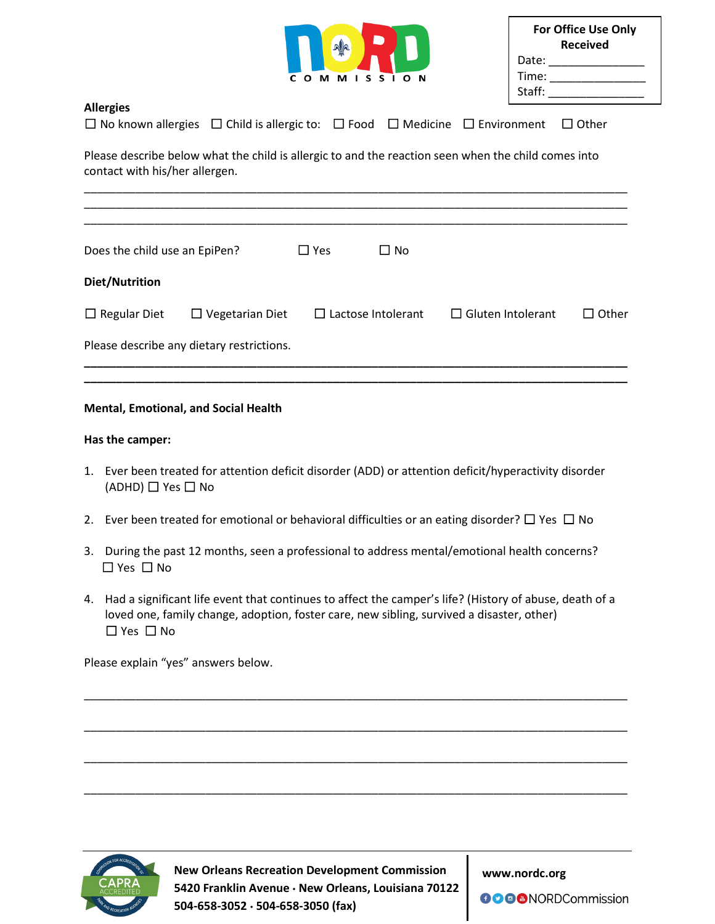| $\Omega$<br>C. | <b>MMISSION</b> |
|----------------|-----------------|

| <b>For Office Use Only</b><br><b>Received</b> |  |  |
|-----------------------------------------------|--|--|
| Date:                                         |  |  |
| Time:                                         |  |  |
| Staff:                                        |  |  |

#### **Allergies** ☐ No known allergies ☐ Child is allergic to: ☐ Food ☐ Medicine ☐ Environment ☐ Other

Please describe below what the child is allergic to and the reaction seen when the child comes into contact with his/her allergen.

| Does the child use an EpiPen? |                                           | $\square$ Yes | $\Box$ No                 |                          |              |
|-------------------------------|-------------------------------------------|---------------|---------------------------|--------------------------|--------------|
| Diet/Nutrition                |                                           |               |                           |                          |              |
| $\Box$ Regular Diet           | $\Box$ Vegetarian Diet                    |               | $\Box$ Lactose Intolerant | $\Box$ Gluten Intolerant | $\Box$ Other |
|                               | Please describe any dietary restrictions. |               |                           |                          |              |

**\_\_\_\_\_\_\_\_\_\_\_\_\_\_\_\_\_\_\_\_\_\_\_\_\_\_\_\_\_\_\_\_\_\_\_\_\_\_\_\_\_\_\_\_\_\_\_\_\_\_\_\_\_\_\_\_\_\_\_\_\_\_\_\_\_\_\_\_\_\_\_\_\_\_\_\_\_\_\_\_\_\_\_\_\_**

### **Mental, Emotional, and Social Health**

#### **Has the camper:**

- 1. Ever been treated for attention deficit disorder (ADD) or attention deficit/hyperactivity disorder (ADHD) ☐ Yes ☐ No
- 2. Ever been treated for emotional or behavioral difficulties or an eating disorder?  $\Box$  Yes  $\Box$  No
- 3. During the past 12 months, seen a professional to address mental/emotional health concerns? ☐ Yes ☐ No
- 4. Had a significant life event that continues to affect the camper's life? (History of abuse, death of a loved one, family change, adoption, foster care, new sibling, survived a disaster, other) ☐ Yes ☐ No

\_\_\_\_\_\_\_\_\_\_\_\_\_\_\_\_\_\_\_\_\_\_\_\_\_\_\_\_\_\_\_\_\_\_\_\_\_\_\_\_\_\_\_\_\_\_\_\_\_\_\_\_\_\_\_\_\_\_\_\_\_\_\_\_\_\_\_\_\_\_\_\_\_\_\_\_\_\_\_\_\_\_\_\_\_

\_\_\_\_\_\_\_\_\_\_\_\_\_\_\_\_\_\_\_\_\_\_\_\_\_\_\_\_\_\_\_\_\_\_\_\_\_\_\_\_\_\_\_\_\_\_\_\_\_\_\_\_\_\_\_\_\_\_\_\_\_\_\_\_\_\_\_\_\_\_\_\_\_\_\_\_\_\_\_\_\_\_\_\_\_

\_\_\_\_\_\_\_\_\_\_\_\_\_\_\_\_\_\_\_\_\_\_\_\_\_\_\_\_\_\_\_\_\_\_\_\_\_\_\_\_\_\_\_\_\_\_\_\_\_\_\_\_\_\_\_\_\_\_\_\_\_\_\_\_\_\_\_\_\_\_\_\_\_\_\_\_\_\_\_\_\_\_\_\_\_

\_\_\_\_\_\_\_\_\_\_\_\_\_\_\_\_\_\_\_\_\_\_\_\_\_\_\_\_\_\_\_\_\_\_\_\_\_\_\_\_\_\_\_\_\_\_\_\_\_\_\_\_\_\_\_\_\_\_\_\_\_\_\_\_\_\_\_\_\_\_\_\_\_\_\_\_\_\_\_\_\_\_\_\_\_

Please explain "yes" answers below.



 **New Orleans Recreation Development Commission 5420 Franklin Avenue New Orleans, Louisiana 70122 504-658-3052 504-658-3050 (fax)** 

**www.nordc.org**

**OOOO**NORDCommission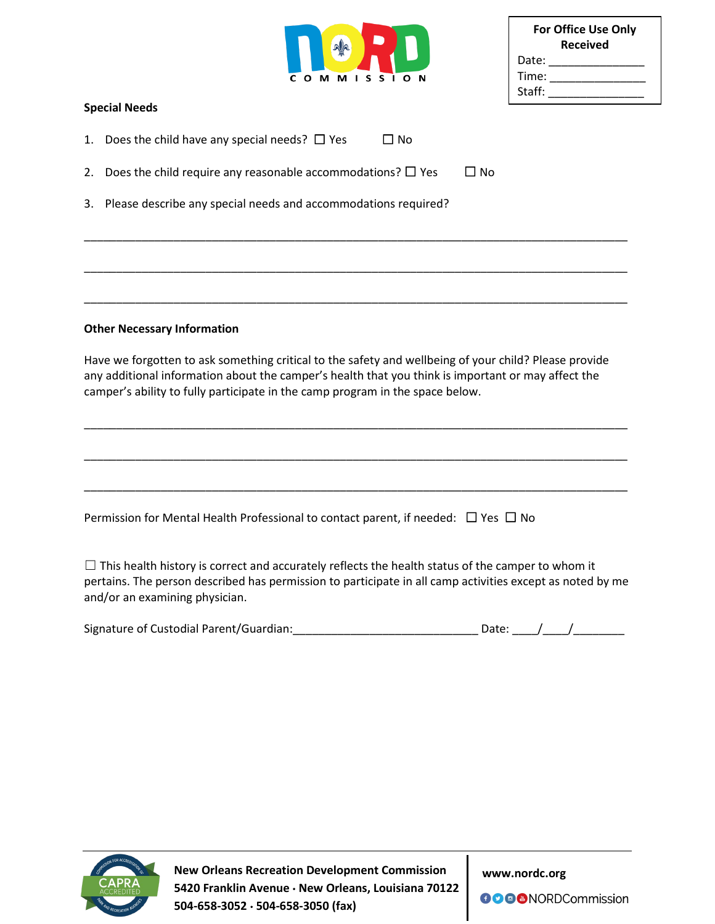| C |  | O M M I S S I O N |  |  |  |
|---|--|-------------------|--|--|--|

| <b>For Office Use Only</b><br>Received |  |  |  |  |  |
|----------------------------------------|--|--|--|--|--|
| Date:                                  |  |  |  |  |  |
| Time:                                  |  |  |  |  |  |
| Staff:                                 |  |  |  |  |  |

#### **Special Needs**

- 1. Does the child have any special needs?  $\Box$  Yes  $\Box$  No
- 2. Does the child require any reasonable accommodations?  $\Box$  Yes  $\Box$  No
- 3. Please describe any special needs and accommodations required?

#### **Other Necessary Information**

Have we forgotten to ask something critical to the safety and wellbeing of your child? Please provide any additional information about the camper's health that you think is important or may affect the camper's ability to fully participate in the camp program in the space below.

\_\_\_\_\_\_\_\_\_\_\_\_\_\_\_\_\_\_\_\_\_\_\_\_\_\_\_\_\_\_\_\_\_\_\_\_\_\_\_\_\_\_\_\_\_\_\_\_\_\_\_\_\_\_\_\_\_\_\_\_\_\_\_\_\_\_\_\_\_\_\_\_\_\_\_\_\_\_\_\_\_\_\_\_\_

\_\_\_\_\_\_\_\_\_\_\_\_\_\_\_\_\_\_\_\_\_\_\_\_\_\_\_\_\_\_\_\_\_\_\_\_\_\_\_\_\_\_\_\_\_\_\_\_\_\_\_\_\_\_\_\_\_\_\_\_\_\_\_\_\_\_\_\_\_\_\_\_\_\_\_\_\_\_\_\_\_\_\_\_\_

\_\_\_\_\_\_\_\_\_\_\_\_\_\_\_\_\_\_\_\_\_\_\_\_\_\_\_\_\_\_\_\_\_\_\_\_\_\_\_\_\_\_\_\_\_\_\_\_\_\_\_\_\_\_\_\_\_\_\_\_\_\_\_\_\_\_\_\_\_\_\_\_\_\_\_\_\_\_\_\_\_\_\_\_\_

\_\_\_\_\_\_\_\_\_\_\_\_\_\_\_\_\_\_\_\_\_\_\_\_\_\_\_\_\_\_\_\_\_\_\_\_\_\_\_\_\_\_\_\_\_\_\_\_\_\_\_\_\_\_\_\_\_\_\_\_\_\_\_\_\_\_\_\_\_\_\_\_\_\_\_\_\_\_\_\_\_\_\_\_\_

\_\_\_\_\_\_\_\_\_\_\_\_\_\_\_\_\_\_\_\_\_\_\_\_\_\_\_\_\_\_\_\_\_\_\_\_\_\_\_\_\_\_\_\_\_\_\_\_\_\_\_\_\_\_\_\_\_\_\_\_\_\_\_\_\_\_\_\_\_\_\_\_\_\_\_\_\_\_\_\_\_\_\_\_\_

\_\_\_\_\_\_\_\_\_\_\_\_\_\_\_\_\_\_\_\_\_\_\_\_\_\_\_\_\_\_\_\_\_\_\_\_\_\_\_\_\_\_\_\_\_\_\_\_\_\_\_\_\_\_\_\_\_\_\_\_\_\_\_\_\_\_\_\_\_\_\_\_\_\_\_\_\_\_\_\_\_\_\_\_\_

Permission for Mental Health Professional to contact parent, if needed:  $\Box$  Yes  $\Box$  No

 $\Box$  This health history is correct and accurately reflects the health status of the camper to whom it pertains. The person described has permission to participate in all camp activities except as noted by me and/or an examining physician.

| Signature of Custodial Parent/Guardian: | Date: |  |
|-----------------------------------------|-------|--|
|                                         |       |  |



**New Orleans Recreation Development Commission 5420 Franklin Avenue New Orleans, Louisiana 70122 504-658-3052 504-658-3050 (fax)**

**www.nordc.org**

**OOO** NORDCommission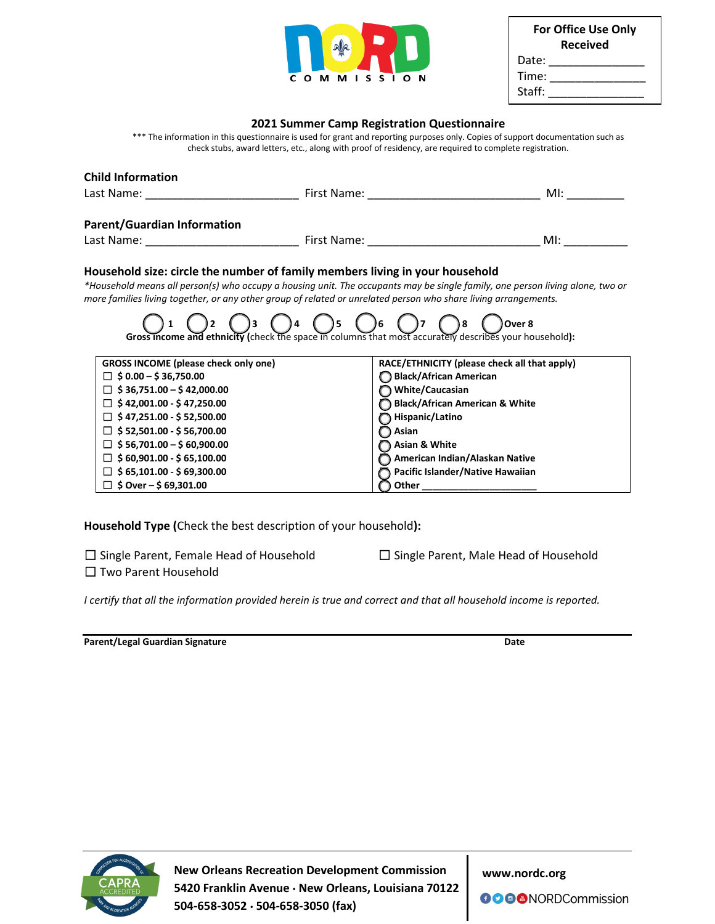

| <b>For Office Use Only</b><br><b>Received</b> |  |  |  |  |  |
|-----------------------------------------------|--|--|--|--|--|
| Date:                                         |  |  |  |  |  |
| Time:                                         |  |  |  |  |  |
| Staff:                                        |  |  |  |  |  |

#### **2021 Summer Camp Registration Questionnaire**

\*\*\* The information in this questionnaire is used for grant and reporting purposes only. Copies of support documentation such as check stubs, award letters, etc., along with proof of residency, are required to complete registration.

| <b>Child Information</b>                                                                                                                                                                                                                                                                                                                                                 |                                                                                                                                                                                                                                                                                                                                                                                                             |                                                                                                                |
|--------------------------------------------------------------------------------------------------------------------------------------------------------------------------------------------------------------------------------------------------------------------------------------------------------------------------------------------------------------------------|-------------------------------------------------------------------------------------------------------------------------------------------------------------------------------------------------------------------------------------------------------------------------------------------------------------------------------------------------------------------------------------------------------------|----------------------------------------------------------------------------------------------------------------|
|                                                                                                                                                                                                                                                                                                                                                                          |                                                                                                                                                                                                                                                                                                                                                                                                             | M!                                                                                                             |
| <b>Parent/Guardian Information</b>                                                                                                                                                                                                                                                                                                                                       |                                                                                                                                                                                                                                                                                                                                                                                                             | MI: and a structure of the structure of the structure of the structure of the structure of the structure of th |
| Household size: circle the number of family members living in your household<br><b>D</b> <sub>4</sub>                                                                                                                                                                                                                                                                    | *Household means all person(s) who occupy a housing unit. The occupants may be single family, one person living alone, two or<br>more families living together, or any other group of related or unrelated person who share living arrangements.<br>$\bigcup$ 5 $\bigcup$ 6 $\bigcup$ 7<br>Over 8<br>Gross income and ethnicity (check the space in columns that most accurately describes your household): |                                                                                                                |
| <b>GROSS INCOME (please check only one)</b><br>$\Box$ \$ 0.00 - \$ 36,750.00<br>$\Box$ \$36,751.00 - \$42,000.00<br>$\Box$ \$42,001.00 - \$47,250.00<br>$\Box$ \$47,251.00 - \$52,500.00<br>$\Box$ \$ 52,501.00 - \$ 56,700.00<br>$$56,701.00 - $60,900.00$<br>$\Box$ \$ 60,901.00 - \$ 65,100.00<br>$\Box$ \$ 65,101.00 - \$ 69,300.00<br>$\Box$ \$ Over – \$ 69,301.00 | RACE/ETHNICITY (please check all that apply)<br>Black/African American<br>White/Caucasian<br><b>Black/African American &amp; White</b><br>Hispanic/Latino<br>Asian<br>Asian & White<br>American Indian/Alaskan Native<br>Pacific Islander/Native Hawaiian<br>Other $\_$                                                                                                                                     |                                                                                                                |

**Household Type (**Check the best description of your household**):**

□ Single Parent, Female Head of Household ☐ Two Parent Household

☐ Single Parent, Male Head of Household

*I certify that all the information provided herein is true and correct and that all household income is reported.*

**Parent/Legal Guardian Signature Date** 



**New Orleans Recreation Development Commission 5420 Franklin Avenue New Orleans, Louisiana 70122 504-658-3052 504-658-3050 (fax)**

**www.nordc.org**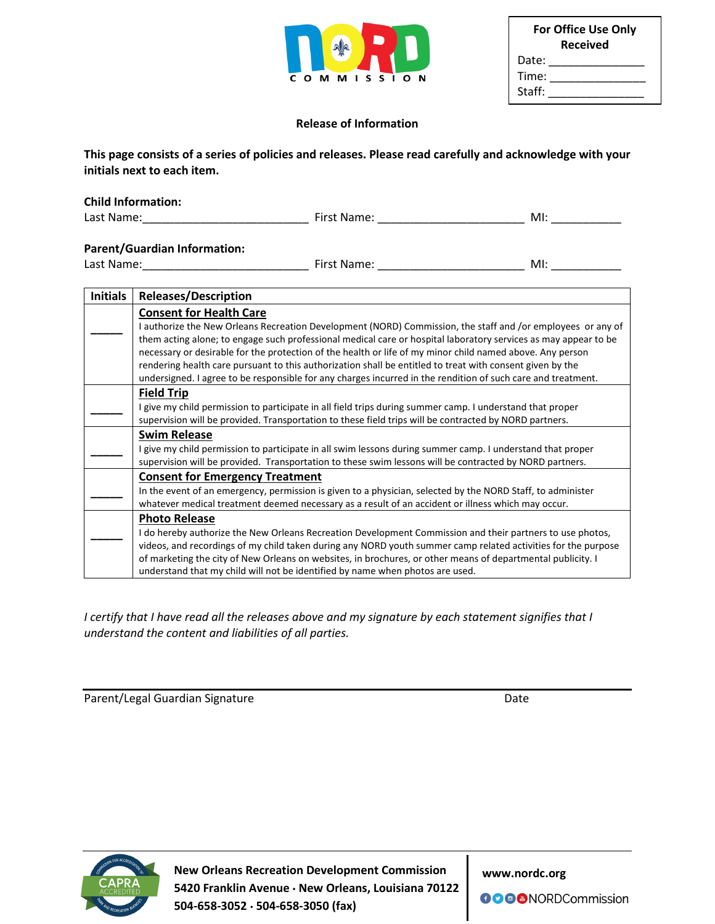|   |   |   | alla |     |  |   |   |  |
|---|---|---|------|-----|--|---|---|--|
|   |   |   |      |     |  |   |   |  |
| C | О | м | м    | S S |  | О | N |  |

| <b>For Office Use Only</b><br><b>Received</b> |  |  |  |  |  |
|-----------------------------------------------|--|--|--|--|--|
| Date:                                         |  |  |  |  |  |
| Time:                                         |  |  |  |  |  |
| Staff:                                        |  |  |  |  |  |

#### **Release of Information**

**This page consists of a series of policies and releases. Please read carefully and acknowledge with your initials next to each item.**

| <b>Child Information:</b>                                                                                      |                                                                                                                                                                                                                                                                                                                                                                                                                                                    |                                                                                                                 |                                                                                                                                                                                                                                                                                                                                                                                                                                                                                                                                                                          |  |  |  |
|----------------------------------------------------------------------------------------------------------------|----------------------------------------------------------------------------------------------------------------------------------------------------------------------------------------------------------------------------------------------------------------------------------------------------------------------------------------------------------------------------------------------------------------------------------------------------|-----------------------------------------------------------------------------------------------------------------|--------------------------------------------------------------------------------------------------------------------------------------------------------------------------------------------------------------------------------------------------------------------------------------------------------------------------------------------------------------------------------------------------------------------------------------------------------------------------------------------------------------------------------------------------------------------------|--|--|--|
| Last Name: Name and Separate and Separate and Separate and Separate and Separate and Separate and Separate and |                                                                                                                                                                                                                                                                                                                                                                                                                                                    | First Name: The contract of the contract of the contract of the contract of the contract of the contract of the | Ml:                                                                                                                                                                                                                                                                                                                                                                                                                                                                                                                                                                      |  |  |  |
| <b>Parent/Guardian Information:</b>                                                                            |                                                                                                                                                                                                                                                                                                                                                                                                                                                    |                                                                                                                 | M!                                                                                                                                                                                                                                                                                                                                                                                                                                                                                                                                                                       |  |  |  |
| <b>Initials</b>                                                                                                | <b>Releases/Description</b>                                                                                                                                                                                                                                                                                                                                                                                                                        |                                                                                                                 |                                                                                                                                                                                                                                                                                                                                                                                                                                                                                                                                                                          |  |  |  |
|                                                                                                                | <b>Consent for Health Care</b>                                                                                                                                                                                                                                                                                                                                                                                                                     |                                                                                                                 |                                                                                                                                                                                                                                                                                                                                                                                                                                                                                                                                                                          |  |  |  |
|                                                                                                                |                                                                                                                                                                                                                                                                                                                                                                                                                                                    |                                                                                                                 | I authorize the New Orleans Recreation Development (NORD) Commission, the staff and /or employees or any of<br>them acting alone; to engage such professional medical care or hospital laboratory services as may appear to be<br>necessary or desirable for the protection of the health or life of my minor child named above. Any person<br>rendering health care pursuant to this authorization shall be entitled to treat with consent given by the<br>undersigned. I agree to be responsible for any charges incurred in the rendition of such care and treatment. |  |  |  |
|                                                                                                                | I give my child permission to participate in all field trips during summer camp. I understand that proper<br>supervision will be provided. Transportation to these field trips will be contracted by NORD partners.                                                                                                                                                                                                                                |                                                                                                                 |                                                                                                                                                                                                                                                                                                                                                                                                                                                                                                                                                                          |  |  |  |
|                                                                                                                | <b>Swim Release</b><br>I give my child permission to participate in all swim lessons during summer camp. I understand that proper<br>supervision will be provided. Transportation to these swim lessons will be contracted by NORD partners.                                                                                                                                                                                                       |                                                                                                                 |                                                                                                                                                                                                                                                                                                                                                                                                                                                                                                                                                                          |  |  |  |
|                                                                                                                | <b>Consent for Emergency Treatment</b><br>In the event of an emergency, permission is given to a physician, selected by the NORD Staff, to administer<br>whatever medical treatment deemed necessary as a result of an accident or illness which may occur.                                                                                                                                                                                        |                                                                                                                 |                                                                                                                                                                                                                                                                                                                                                                                                                                                                                                                                                                          |  |  |  |
|                                                                                                                | <b>Photo Release</b><br>I do hereby authorize the New Orleans Recreation Development Commission and their partners to use photos,<br>videos, and recordings of my child taken during any NORD youth summer camp related activities for the purpose<br>of marketing the city of New Orleans on websites, in brochures, or other means of departmental publicity. I<br>understand that my child will not be identified by name when photos are used. |                                                                                                                 |                                                                                                                                                                                                                                                                                                                                                                                                                                                                                                                                                                          |  |  |  |

*I certify that I have read all the releases above and my signature by each statement signifies that I understand the content and liabilities of all parties.*

Parent/Legal Guardian Signature data and the Date Date



 **New Orleans Recreation Development Commission 5420 Franklin Avenue New Orleans, Louisiana 70122 504-658-3052 504-658-3050 (fax)** 

**www.nordc.org**

**OOO** NORDCommission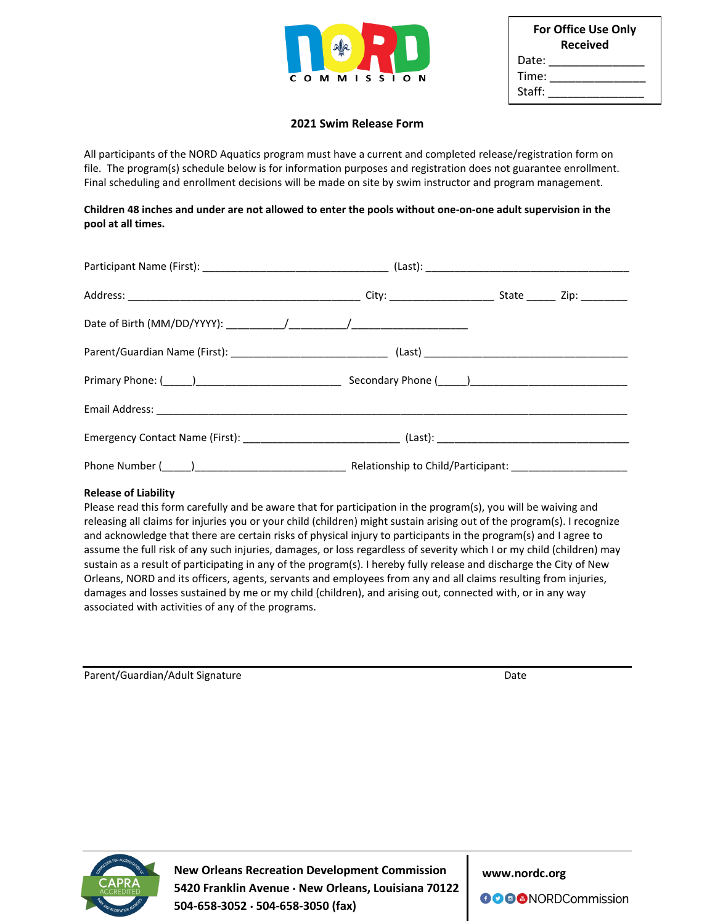

| <b>For Office Use Only</b><br><b>Received</b> |  |  |  |  |  |
|-----------------------------------------------|--|--|--|--|--|
| Date:                                         |  |  |  |  |  |
| Time:                                         |  |  |  |  |  |
| Staff:                                        |  |  |  |  |  |

#### **2021 Swim Release Form**

All participants of the NORD Aquatics program must have a current and completed release/registration form on file. The program(s) schedule below is for information purposes and registration does not guarantee enrollment. Final scheduling and enrollment decisions will be made on site by swim instructor and program management.

#### **Children 48 inches and under are not allowed to enter the pools without one-on-one adult supervision in the pool at all times.**

#### **Release of Liability**

Please read this form carefully and be aware that for participation in the program(s), you will be waiving and releasing all claims for injuries you or your child (children) might sustain arising out of the program(s). I recognize and acknowledge that there are certain risks of physical injury to participants in the program(s) and I agree to assume the full risk of any such injuries, damages, or loss regardless of severity which I or my child (children) may sustain as a result of participating in any of the program(s). I hereby fully release and discharge the City of New Orleans, NORD and its officers, agents, servants and employees from any and all claims resulting from injuries, damages and losses sustained by me or my child (children), and arising out, connected with, or in any way associated with activities of any of the programs.

Parent/Guardian/Adult Signature data and the Date of Date Date



 **New Orleans Recreation Development Commission 5420 Franklin Avenue New Orleans, Louisiana 70122 504-658-3052 504-658-3050 (fax)** 

**www.nordc.org**

**OOO** NORDCommission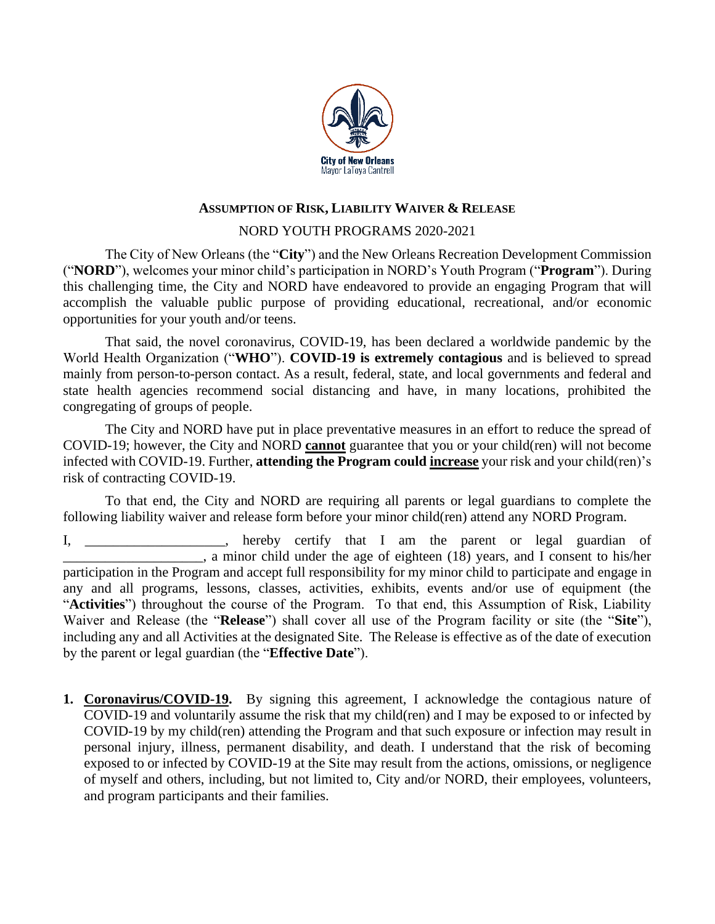

## **ASSUMPTION OF RISK, LIABILITY WAIVER & RELEASE**

## NORD YOUTH PROGRAMS 2020-2021

The City of New Orleans (the "**City**") and the New Orleans Recreation Development Commission ("**NORD**"), welcomes your minor child's participation in NORD's Youth Program ("**Program**"). During this challenging time, the City and NORD have endeavored to provide an engaging Program that will accomplish the valuable public purpose of providing educational, recreational, and/or economic opportunities for your youth and/or teens.

That said, the novel coronavirus, COVID-19, has been declared a worldwide pandemic by the World Health Organization ("**WHO**"). **COVID-19 is extremely contagious** and is believed to spread mainly from person-to-person contact. As a result, federal, state, and local governments and federal and state health agencies recommend social distancing and have, in many locations, prohibited the congregating of groups of people.

The City and NORD have put in place preventative measures in an effort to reduce the spread of COVID-19; however, the City and NORD **cannot** guarantee that you or your child(ren) will not become infected with COVID-19. Further, **attending the Program could increase** your risk and your child(ren)'s risk of contracting COVID-19.

To that end, the City and NORD are requiring all parents or legal guardians to complete the following liability waiver and release form before your minor child(ren) attend any NORD Program.

I, \_\_\_\_\_\_\_\_\_\_\_\_\_\_\_, hereby certify that I am the parent or legal guardian of a minor child under the age of eighteen (18) years, and I consent to his/her participation in the Program and accept full responsibility for my minor child to participate and engage in any and all programs, lessons, classes, activities, exhibits, events and/or use of equipment (the "**Activities**") throughout the course of the Program. To that end, this Assumption of Risk, Liability Waiver and Release (the "**Release**") shall cover all use of the Program facility or site (the "**Site**"), including any and all Activities at the designated Site. The Release is effective as of the date of execution by the parent or legal guardian (the "**Effective Date**").

**1. Coronavirus/COVID-19.** By signing this agreement, I acknowledge the contagious nature of COVID-19 and voluntarily assume the risk that my child(ren) and I may be exposed to or infected by COVID-19 by my child(ren) attending the Program and that such exposure or infection may result in personal injury, illness, permanent disability, and death. I understand that the risk of becoming exposed to or infected by COVID-19 at the Site may result from the actions, omissions, or negligence of myself and others, including, but not limited to, City and/or NORD, their employees, volunteers, and program participants and their families.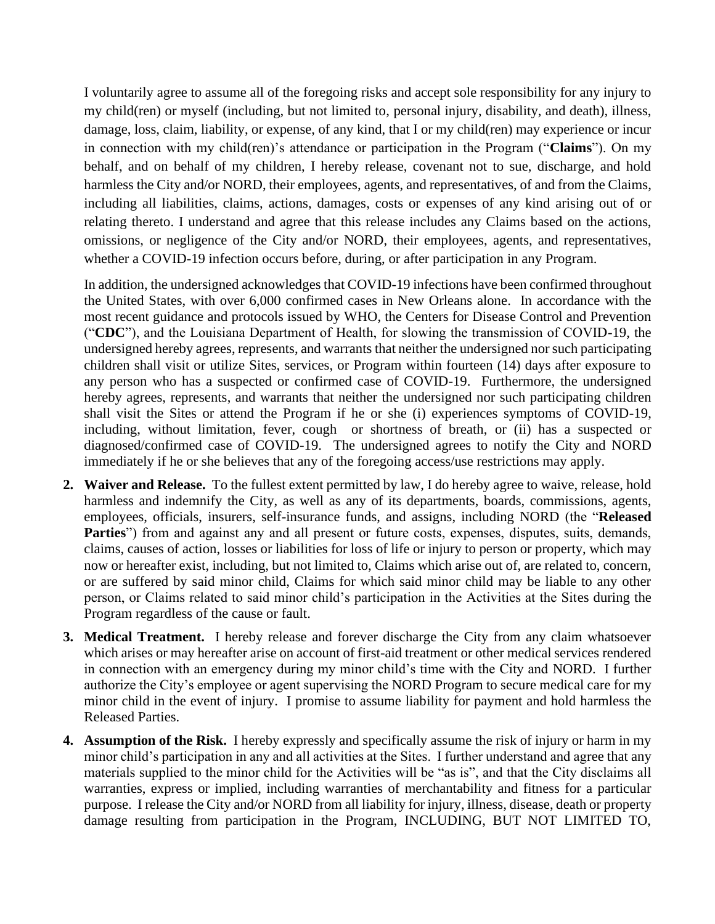I voluntarily agree to assume all of the foregoing risks and accept sole responsibility for any injury to my child(ren) or myself (including, but not limited to, personal injury, disability, and death), illness, damage, loss, claim, liability, or expense, of any kind, that I or my child(ren) may experience or incur in connection with my child(ren)'s attendance or participation in the Program ("**Claims**"). On my behalf, and on behalf of my children, I hereby release, covenant not to sue, discharge, and hold harmless the City and/or NORD, their employees, agents, and representatives, of and from the Claims, including all liabilities, claims, actions, damages, costs or expenses of any kind arising out of or relating thereto. I understand and agree that this release includes any Claims based on the actions, omissions, or negligence of the City and/or NORD, their employees, agents, and representatives, whether a COVID-19 infection occurs before, during, or after participation in any Program.

In addition, the undersigned acknowledges that COVID-19 infections have been confirmed throughout the United States, with over 6,000 confirmed cases in New Orleans alone. In accordance with the most recent guidance and protocols issued by WHO, the Centers for Disease Control and Prevention ("**CDC**"), and the Louisiana Department of Health, for slowing the transmission of COVID-19, the undersigned hereby agrees, represents, and warrants that neither the undersigned nor such participating children shall visit or utilize Sites, services, or Program within fourteen (14) days after exposure to any person who has a suspected or confirmed case of COVID-19. Furthermore, the undersigned hereby agrees, represents, and warrants that neither the undersigned nor such participating children shall visit the Sites or attend the Program if he or she (i) experiences symptoms of COVID-19, including, without limitation, fever, cough or shortness of breath, or (ii) has a suspected or diagnosed/confirmed case of COVID-19. The undersigned agrees to notify the City and NORD immediately if he or she believes that any of the foregoing access/use restrictions may apply.

- **2. Waiver and Release.** To the fullest extent permitted by law, I do hereby agree to waive, release, hold harmless and indemnify the City, as well as any of its departments, boards, commissions, agents, employees, officials, insurers, self-insurance funds, and assigns, including NORD (the "**Released**  Parties") from and against any and all present or future costs, expenses, disputes, suits, demands, claims, causes of action, losses or liabilities for loss of life or injury to person or property, which may now or hereafter exist, including, but not limited to, Claims which arise out of, are related to, concern, or are suffered by said minor child, Claims for which said minor child may be liable to any other person, or Claims related to said minor child's participation in the Activities at the Sites during the Program regardless of the cause or fault.
- **3. Medical Treatment.** I hereby release and forever discharge the City from any claim whatsoever which arises or may hereafter arise on account of first-aid treatment or other medical services rendered in connection with an emergency during my minor child's time with the City and NORD. I further authorize the City's employee or agent supervising the NORD Program to secure medical care for my minor child in the event of injury. I promise to assume liability for payment and hold harmless the Released Parties.
- **4. Assumption of the Risk.** I hereby expressly and specifically assume the risk of injury or harm in my minor child's participation in any and all activities at the Sites. I further understand and agree that any materials supplied to the minor child for the Activities will be "as is", and that the City disclaims all warranties, express or implied, including warranties of merchantability and fitness for a particular purpose. I release the City and/or NORD from all liability for injury, illness, disease, death or property damage resulting from participation in the Program, INCLUDING, BUT NOT LIMITED TO,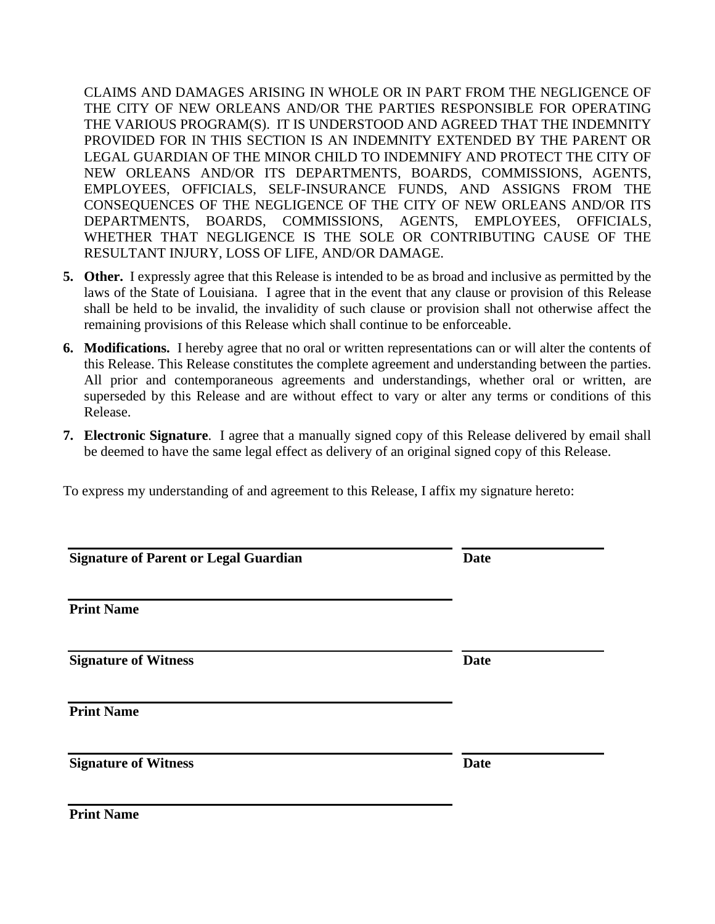CLAIMS AND DAMAGES ARISING IN WHOLE OR IN PART FROM THE NEGLIGENCE OF THE CITY OF NEW ORLEANS AND/OR THE PARTIES RESPONSIBLE FOR OPERATING THE VARIOUS PROGRAM(S). IT IS UNDERSTOOD AND AGREED THAT THE INDEMNITY PROVIDED FOR IN THIS SECTION IS AN INDEMNITY EXTENDED BY THE PARENT OR LEGAL GUARDIAN OF THE MINOR CHILD TO INDEMNIFY AND PROTECT THE CITY OF NEW ORLEANS AND/OR ITS DEPARTMENTS, BOARDS, COMMISSIONS, AGENTS, EMPLOYEES, OFFICIALS, SELF-INSURANCE FUNDS, AND ASSIGNS FROM THE CONSEQUENCES OF THE NEGLIGENCE OF THE CITY OF NEW ORLEANS AND/OR ITS DEPARTMENTS, BOARDS, COMMISSIONS, AGENTS, EMPLOYEES, OFFICIALS, WHETHER THAT NEGLIGENCE IS THE SOLE OR CONTRIBUTING CAUSE OF THE RESULTANT INJURY, LOSS OF LIFE, AND/OR DAMAGE.

- **5. Other.** I expressly agree that this Release is intended to be as broad and inclusive as permitted by the laws of the State of Louisiana. I agree that in the event that any clause or provision of this Release shall be held to be invalid, the invalidity of such clause or provision shall not otherwise affect the remaining provisions of this Release which shall continue to be enforceable.
- **6. Modifications.** I hereby agree that no oral or written representations can or will alter the contents of this Release. This Release constitutes the complete agreement and understanding between the parties. All prior and contemporaneous agreements and understandings, whether oral or written, are superseded by this Release and are without effect to vary or alter any terms or conditions of this Release.
- **7. Electronic Signature**. I agree that a manually signed copy of this Release delivered by email shall be deemed to have the same legal effect as delivery of an original signed copy of this Release.

To express my understanding of and agreement to this Release, I affix my signature hereto:

| <b>Signature of Parent or Legal Guardian</b> | <b>Date</b> |
|----------------------------------------------|-------------|
| <b>Print Name</b>                            |             |
| <b>Signature of Witness</b>                  | <b>Date</b> |
| <b>Print Name</b>                            |             |
| <b>Signature of Witness</b>                  | <b>Date</b> |
| <b>Print Name</b>                            |             |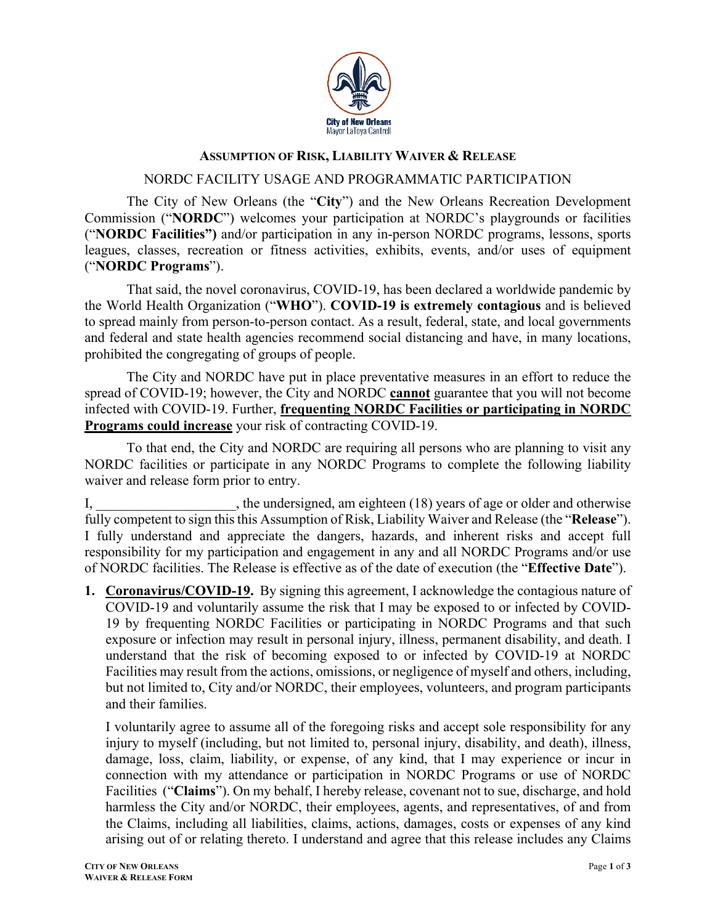

## **ASSUMPTION OF RISK, LIABILITY WAIVER & RELEASE**

## NORDC FACILITY USAGE AND PROGRAMMATIC PARTICIPATION

The City of New Orleans (the "**City**") and the New Orleans Recreation Development Commission ("**NORDC**") welcomes your participation at NORDC's playgrounds or facilities ("**NORDC Facilities")** and/or participation in any in-person NORDC programs, lessons, sports leagues, classes, recreation or fitness activities, exhibits, events, and/or uses of equipment ("**NORDC Programs**").

That said, the novel coronavirus, COVID-19, has been declared a worldwide pandemic by the World Health Organization ("**WHO**"). **COVID-19 is extremely contagious** and is believed to spread mainly from person-to-person contact. As a result, federal, state, and local governments and federal and state health agencies recommend social distancing and have, in many locations, prohibited the congregating of groups of people.

The City and NORDC have put in place preventative measures in an effort to reduce the spread of COVID-19; however, the City and NORDC **cannot** guarantee that you will not become infected with COVID-19. Further, **frequenting NORDC Facilities or participating in NORDC Programs could increase** your risk of contracting COVID-19.

To that end, the City and NORDC are requiring all persons who are planning to visit any NORDC facilities or participate in any NORDC Programs to complete the following liability waiver and release form prior to entry.

I, the undersigned, am eighteen (18) years of age or older and otherwise fully competent to sign this this Assumption of Risk, Liability Waiver and Release (the "**Release**"). I fully understand and appreciate the dangers, hazards, and inherent risks and accept full responsibility for my participation and engagement in any and all NORDC Programs and/or use of NORDC facilities. The Release is effective as of the date of execution (the "**Effective Date**").

**1. Coronavirus/COVID-19.** By signing this agreement, I acknowledge the contagious nature of COVID-19 and voluntarily assume the risk that I may be exposed to or infected by COVID-19 by frequenting NORDC Facilities or participating in NORDC Programs and that such exposure or infection may result in personal injury, illness, permanent disability, and death. I understand that the risk of becoming exposed to or infected by COVID-19 at NORDC Facilities may result from the actions, omissions, or negligence of myself and others, including, but not limited to, City and/or NORDC, their employees, volunteers, and program participants and their families.

I voluntarily agree to assume all of the foregoing risks and accept sole responsibility for any injury to myself (including, but not limited to, personal injury, disability, and death), illness, damage, loss, claim, liability, or expense, of any kind, that I may experience or incur in connection with my attendance or participation in NORDC Programs or use of NORDC Facilities ("**Claims**"). On my behalf, I hereby release, covenant not to sue, discharge, and hold harmless the City and/or NORDC, their employees, agents, and representatives, of and from the Claims, including all liabilities, claims, actions, damages, costs or expenses of any kind arising out of or relating thereto. I understand and agree that this release includes any Claims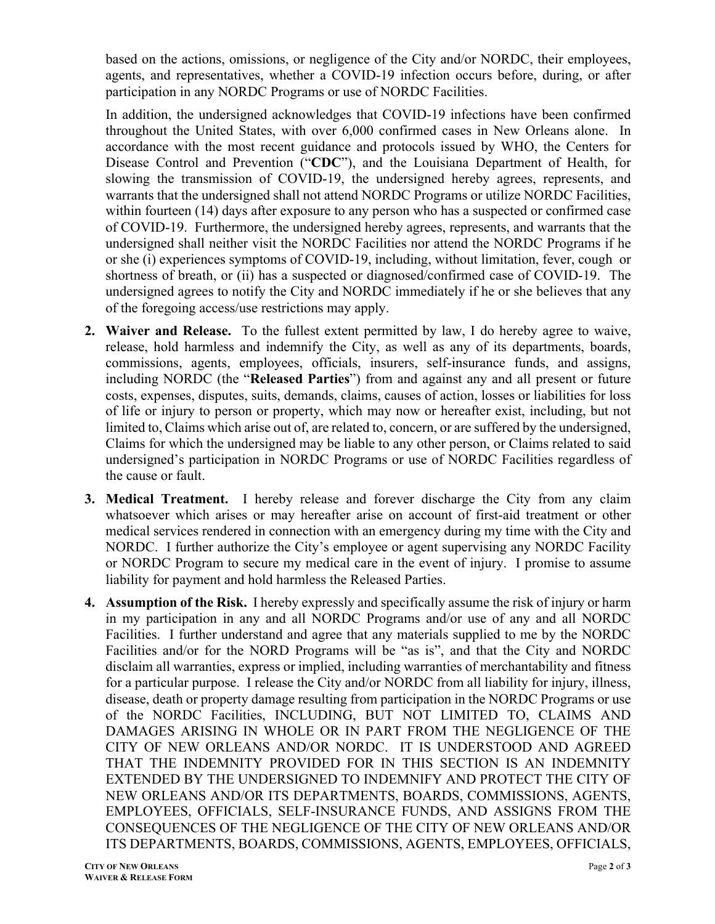based on the actions, omissions, or negligence of the City and/or NORDC, their employees, agents, and representatives, whether a COVID-19 infection occurs before, during, or after participation in any NORDC Programs or use of NORDC Facilities.

In addition, the undersigned acknowledges that COVID-19 infections have been confirmed throughout the United States, with over 6,000 confirmed cases in New Orleans alone. In accordance with the most recent guidance and protocols issued by WHO, the Centers for Disease Control and Prevention ("**CDC**"), and the Louisiana Department of Health, for slowing the transmission of COVID-19, the undersigned hereby agrees, represents, and warrants that the undersigned shall not attend NORDC Programs or utilize NORDC Facilities, within fourteen (14) days after exposure to any person who has a suspected or confirmed case of COVID-19. Furthermore, the undersigned hereby agrees, represents, and warrants that the undersigned shall neither visit the NORDC Facilities nor attend the NORDC Programs if he or she (i) experiences symptoms of COVID-19, including, without limitation, fever, cough or shortness of breath, or (ii) has a suspected or diagnosed/confirmed case of COVID-19. The undersigned agrees to notify the City and NORDC immediately if he or she believes that any of the foregoing access/use restrictions may apply.

- **2. Waiver and Release.** To the fullest extent permitted by law, I do hereby agree to waive, release, hold harmless and indemnify the City, as well as any of its departments, boards, commissions, agents, employees, officials, insurers, self-insurance funds, and assigns, including NORDC (the "**Released Parties**") from and against any and all present or future costs, expenses, disputes, suits, demands, claims, causes of action, losses or liabilities for loss of life or injury to person or property, which may now or hereafter exist, including, but not limited to, Claims which arise out of, are related to, concern, or are suffered by the undersigned, Claims for which the undersigned may be liable to any other person, or Claims related to said undersigned's participation in NORDC Programs or use of NORDC Facilities regardless of the cause or fault.
- **3. Medical Treatment.** I hereby release and forever discharge the City from any claim whatsoever which arises or may hereafter arise on account of first-aid treatment or other medical services rendered in connection with an emergency during my time with the City and NORDC. I further authorize the City's employee or agent supervising any NORDC Facility or NORDC Program to secure my medical care in the event of injury. I promise to assume liability for payment and hold harmless the Released Parties.
- **4. Assumption of the Risk.** I hereby expressly and specifically assume the risk of injury or harm in my participation in any and all NORDC Programs and/or use of any and all NORDC Facilities. I further understand and agree that any materials supplied to me by the NORDC Facilities and/or for the NORD Programs will be "as is", and that the City and NORDC disclaim all warranties, express or implied, including warranties of merchantability and fitness for a particular purpose. I release the City and/or NORDC from all liability for injury, illness, disease, death or property damage resulting from participation in the NORDC Programs or use of the NORDC Facilities, INCLUDING, BUT NOT LIMITED TO, CLAIMS AND DAMAGES ARISING IN WHOLE OR IN PART FROM THE NEGLIGENCE OF THE CITY OF NEW ORLEANS AND/OR NORDC. IT IS UNDERSTOOD AND AGREED THAT THE INDEMNITY PROVIDED FOR IN THIS SECTION IS AN INDEMNITY EXTENDED BY THE UNDERSIGNED TO INDEMNIFY AND PROTECT THE CITY OF NEW ORLEANS AND/OR ITS DEPARTMENTS, BOARDS, COMMISSIONS, AGENTS, EMPLOYEES, OFFICIALS, SELF-INSURANCE FUNDS, AND ASSIGNS FROM THE CONSEQUENCES OF THE NEGLIGENCE OF THE CITY OF NEW ORLEANS AND/OR ITS DEPARTMENTS, BOARDS, COMMISSIONS, AGENTS, EMPLOYEES, OFFICIALS,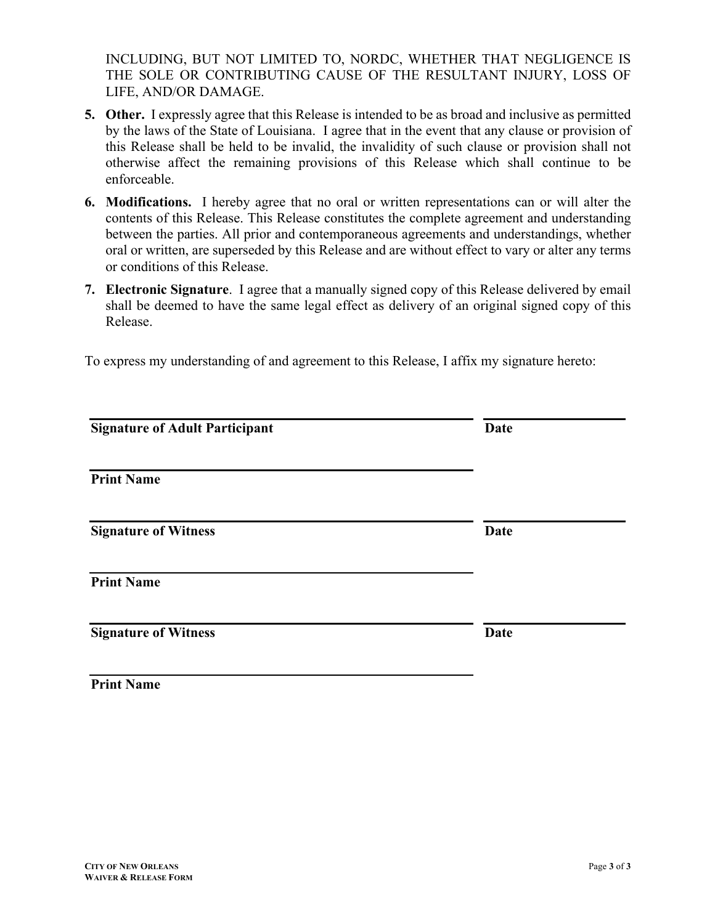INCLUDING, BUT NOT LIMITED TO, NORDC, WHETHER THAT NEGLIGENCE IS THE SOLE OR CONTRIBUTING CAUSE OF THE RESULTANT INJURY, LOSS OF LIFE, AND/OR DAMAGE.

- **5. Other.** I expressly agree that this Release is intended to be as broad and inclusive as permitted by the laws of the State of Louisiana. I agree that in the event that any clause or provision of this Release shall be held to be invalid, the invalidity of such clause or provision shall not otherwise affect the remaining provisions of this Release which shall continue to be enforceable.
- **6. Modifications.** I hereby agree that no oral or written representations can or will alter the contents of this Release. This Release constitutes the complete agreement and understanding between the parties. All prior and contemporaneous agreements and understandings, whether oral or written, are superseded by this Release and are without effect to vary or alter any terms or conditions of this Release.
- **7. Electronic Signature**. I agree that a manually signed copy of this Release delivered by email shall be deemed to have the same legal effect as delivery of an original signed copy of this Release.

To express my understanding of and agreement to this Release, I affix my signature hereto:

| <b>Signature of Adult Participant</b> | Date        |
|---------------------------------------|-------------|
| <b>Print Name</b>                     |             |
| <b>Signature of Witness</b>           | <b>Date</b> |
| <b>Print Name</b>                     |             |
| <b>Signature of Witness</b>           | <b>Date</b> |
| <b>Print Name</b>                     |             |